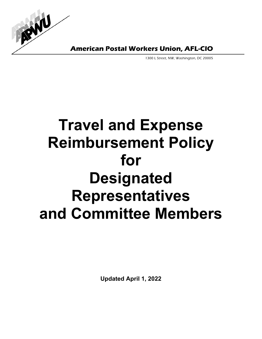

**American Postal Workers Union, AFL-CIO** 

1300 L Street, NW, Washington, DC 20005

# **Travel and Expense Reimbursement Policy for Designated Representatives and Committee Members**

**Updated April 1, 2022**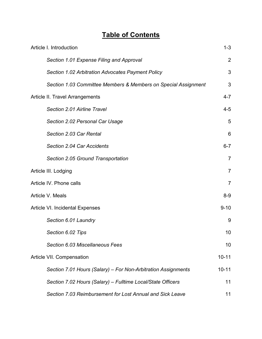# **Table of Contents**

| Article I. Introduction                                        | $1 - 3$        |
|----------------------------------------------------------------|----------------|
| Section 1.01 Expense Filing and Approval                       | $\overline{2}$ |
| Section 1.02 Arbitration Advocates Payment Policy              | 3              |
| Section 1.03 Committee Members & Members on Special Assignment | 3              |
| Article II. Travel Arrangements                                | $4 - 7$        |
| Section 2.01 Airline Travel                                    | $4 - 5$        |
| Section 2.02 Personal Car Usage                                | 5              |
| Section 2.03 Car Rental                                        | 6              |
| Section 2.04 Car Accidents                                     | $6 - 7$        |
| Section 2.05 Ground Transportation                             | $\overline{7}$ |
| Article III. Lodging                                           | $\overline{7}$ |
| Article IV. Phone calls                                        | $\overline{7}$ |
| Article V. Meals                                               | $8 - 9$        |
| Article VI. Incidental Expenses                                | $9 - 10$       |
| Section 6.01 Laundry                                           | 9              |
| Section 6.02 Tips                                              | 10             |
| Section 6.03 Miscellaneous Fees                                | 10             |
| Article VII. Compensation                                      | $10 - 11$      |
| Section 7.01 Hours (Salary) – For Non-Arbitration Assignments  | $10 - 11$      |
| Section 7.02 Hours (Salary) – Fulltime Local/State Officers    | 11             |
| Section 7.03 Reimbursement for Lost Annual and Sick Leave      | 11             |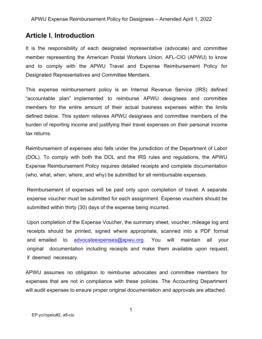# **Article I. Introduction**

It is the responsibility of each designated representative (advocate) and committee member representing the American Postal Workers Union, AFL-CIO (APWU) to know and to comply with the APWU Travel and Expense Reimbursement Policy for Designated Representatives and Committee Members.

This expense reimbursement policy is an Internal Revenue Service (IRS) defined "accountable plan" implemented to reimburse APWU designees and committee members for the entire amount of their actual business expenses within the limits defined below. This system relieves APWU designees and committee members of the burden of reporting income and justifying their travel expenses on their personal income tax returns.

Reimbursement of expenses also falls under the jurisdiction of the Department of Labor (DOL). To comply with both the DOL and the IRS rules and regulations, the APWU Expense Reimbursement Policy requires detailed receipts and complete documentation (who, what, when, where, and why) be submitted for all reimbursable expenses.

Reimbursement of expenses will be paid only upon completion of travel. A separate expense voucher must be submitted for each assignment. Expense vouchers should be submitted within thirty (30) days of the expense being incurred.

Upon completion of the Expense Voucher, the summary sheet, voucher, mileage log and receipts should be printed, signed where appropriate, scanned into a PDF format and emailed to advocate[expenses](mailto:expensevouchers@apwu.org)@apwu.org. You will maintain all your original documentation including receipts and make them available upon request, if deemed necessary.

APWU assumes no obligation to reimburse advocates and committee members for expenses that are not in compliance with these policies. The Accounting Department will audit expenses to ensure proper original documentation and approvals are attached.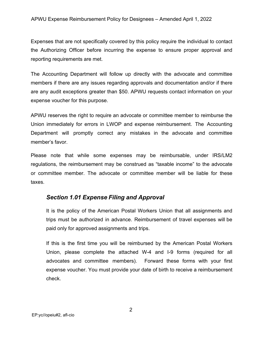Expenses that are not specifically covered by this policy require the individual to contact the Authorizing Officer before incurring the expense to ensure proper approval and reporting requirements are met.

The Accounting Department will follow up directly with the advocate and committee members if there are any issues regarding approvals and documentation and/or if there are any audit exceptions greater than \$50. APWU requests contact information on your expense voucher for this purpose.

APWU reserves the right to require an advocate or committee member to reimburse the Union immediately for errors in LWOP and expense reimbursement. The Accounting Department will promptly correct any mistakes in the advocate and committee member's favor.

Please note that while some expenses may be reimbursable, under IRS/LM2 regulations, the reimbursement may be construed as "taxable income" to the advocate or committee member. The advocate or committee member will be liable for these taxes.

#### *Section 1.01 Expense Filing and Approval*

It is the policy of the American Postal Workers Union that all assignments and trips must be authorized in advance. Reimbursement of travel expenses will be paid only for approved assignments and trips.

If this is the first time you will be reimbursed by the American Postal Workers Union, please complete the attached W-4 and I-9 forms (required for all advocates and committee members). Forward these forms with your first expense voucher. You must provide your date of birth to receive a reimbursement check.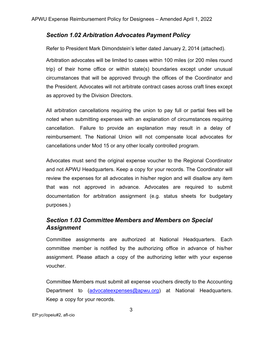## *Section 1.02 Arbitration Advocates Payment Policy*

Refer to President Mark Dimondstein's letter dated January 2, 2014 (attached).

Arbitration advocates will be limited to cases within 100 miles (or 200 miles round trip) of their home office or within state(s) boundaries except under unusual circumstances that will be approved through the offices of the Coordinator and the President. Advocates will not arbitrate contract cases across craft lines except as approved by the Division Directors.

All arbitration cancellations requiring the union to pay full or partial fees will be noted when submitting expenses with an explanation of circumstances requiring cancellation. Failure to provide an explanation may result in a delay of reimbursement. The National Union will not compensate local advocates for cancellations under Mod 15 or any other locally controlled program.

Advocates must send the original expense voucher to the Regional Coordinator and not APWU Headquarters. Keep a copy for your records. The Coordinator will review the expenses for all advocates in his/her region and will disallow any item that was not approved in advance. Advocates are required to submit documentation for arbitration assignment (e.g. status sheets for budgetary purposes.)

## *Section 1.03 Committee Members and Members on Special Assignment*

Committee assignments are authorized at National Headquarters. Each committee member is notified by the authorizing office in advance of his/her assignment. Please attach a copy of the authorizing letter with your expense voucher.

Committee Members must submit all expense vouchers directly to the Accounting Department to (advocate[expenses](mailto:expensevouchers@apwu.org)@apwu.org) at National Headquarters. Keep a copy for your records.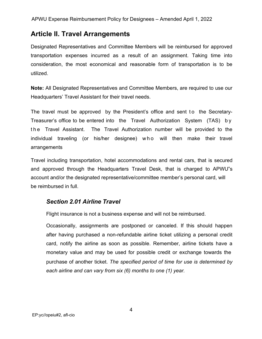# **Article II. Travel Arrangements**

Designated Representatives and Committee Members will be reimbursed for approved transportation expenses incurred as a result of an assignment. Taking time into consideration, the most economical and reasonable form of transportation is to be utilized.

**Note:** All Designated Representatives and Committee Members, are required to use our Headquarters' Travel Assistant for their travel needs.

The travel must be approved by the President's office and sent to the Secretary-Treasurer's office to be entered into the Travel Authorization System (TAS) by the Travel Assistant. The Travel Authorization number will be provided to the individual traveling (or his/her designee) who will then make their travel arrangements

Travel including transportation, hotel accommodations and rental cars, that is secured and approved through the Headquarters Travel Desk, that is charged to APWU"s account and/or the designated representative/committee member's personal card, will be reimbursed in full.

## *Section 2.01 Airline Travel*

Flight insurance is not a business expense and will not be reimbursed.

Occasionally, assignments are postponed or canceled. If this should happen after having purchased a non-refundable airline ticket utilizing a personal credit card, notify the airline as soon as possible. Remember, airline tickets have a monetary value and may be used for possible credit or exchange towards the purchase of another ticket. *The specified period of time for use is determined by each airline and can vary from six (6) months to one (1) year.*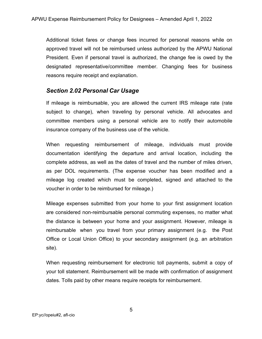Additional ticket fares or change fees incurred for personal reasons while on approved travel will not be reimbursed unless authorized by the APWU National President. Even if personal travel is authorized, the change fee is owed by the designated representative/committee member. Changing fees for business reasons require receipt and explanation.

#### *Section 2.02 Personal Car Usage*

If mileage is reimbursable, you are allowed the current IRS mileage rate (rate subject to change), when traveling by personal vehicle. All advocates and committee members using a personal vehicle are to notify their automobile insurance company of the business use of the vehicle.

When requesting reimbursement of mileage, individuals must provide documentation identifying the departure and arrival location, including the complete address, as well as the dates of travel and the number of miles driven, as per DOL requirements. (The expense voucher has been modified and a mileage log created which must be completed, signed and attached to the voucher in order to be reimbursed for mileage.)

Mileage expenses submitted from your home to your first assignment location are considered non-reimbursable personal commuting expenses, no matter what the distance is between your home and your assignment. However, mileage is reimbursable when you travel from your primary assignment (e.g. the Post Office or Local Union Office) to your secondary assignment (e.g. an arbitration site).

When requesting reimbursement for electronic toll payments, submit a copy of your toll statement. Reimbursement will be made with confirmation of assignment dates. Tolls paid by other means require receipts for reimbursement.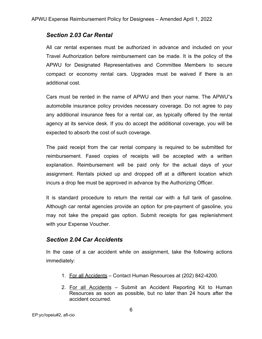#### *Section 2.03 Car Rental*

All car rental expenses must be authorized in advance and included on your Travel Authorization before reimbursement can be made. It is the policy of the APWU for Designated Representatives and Committee Members to secure compact or economy rental cars. Upgrades must be waived if there is an additional cost.

Cars must be rented in the name of APWU and then your name. The APWU"s automobile insurance policy provides necessary coverage. Do not agree to pay any additional insurance fees for a rental car, as typically offered by the rental agency at its service desk. If you do accept the additional coverage, you will be expected to absorb the cost of such coverage.

The paid receipt from the car rental company is required to be submitted for reimbursement. Faxed copies of receipts will be accepted with a written explanation. Reimbursement will be paid only for the actual days of your assignment. Rentals picked up and dropped off at a different location which incurs a drop fee must be approved in advance by the Authorizing Officer.

It is standard procedure to return the rental car with a full tank of gasoline. Although car rental agencies provide an option for pre-payment of gasoline, you may not take the prepaid gas option. Submit receipts for gas replenishment with your Expense Voucher.

### *Section 2.04 Car Accidents*

In the case of a car accident while on assignment, take the following actions immediately:

- 1. For all Accidents Contact Human Resources at (202) 842-4200.
- 2. For all Accidents Submit an Accident Reporting Kit to Human Resources as soon as possible, but no later than 24 hours after the accident occurred.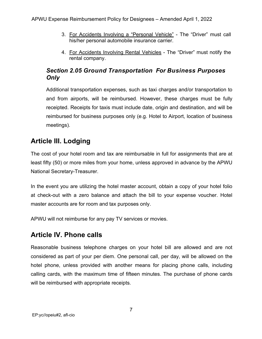- 3. For Accidents Involving a "Personal Vehicle" The "Driver" must call his/her personal automobile insurance carrier.
- 4. For Accidents Involving Rental Vehicles The "Driver" must notify the rental company.

## *Section 2.05 Ground Transportation For Business Purposes Only*

Additional transportation expenses, such as taxi charges and/or transportation to and from airports, will be reimbursed. However, these charges must be fully receipted. Receipts for taxis must include date, origin and destination, and will be reimbursed for business purposes only (e.g. Hotel to Airport, location of business meetings).

# **Article III. Lodging**

The cost of your hotel room and tax are reimbursable in full for assignments that are at least fifty (50) or more miles from your home, unless approved in advance by the APWU National Secretary-Treasurer.

In the event you are utilizing the hotel master account, obtain a copy of your hotel folio at check-out with a zero balance and attach the bill to your expense voucher. Hotel master accounts are for room and tax purposes only.

APWU will not reimburse for any pay TV services or movies.

# **Article IV. Phone calls**

Reasonable business telephone charges on your hotel bill are allowed and are not considered as part of your per diem. One personal call, per day, will be allowed on the hotel phone, unless provided with another means for placing phone calls, including calling cards, with the maximum time of fifteen minutes. The purchase of phone cards will be reimbursed with appropriate receipts.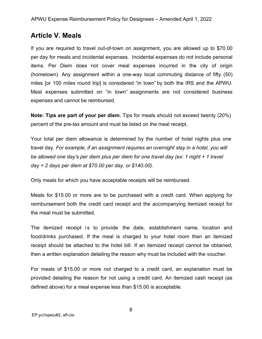# **Article V. Meals**

If you are required to travel out-of-town on assignment, you are allowed up to \$70.00 per day for meals and incidental expenses. Incidental expenses do not include personal items. Per Diem does not cover meal expenses incurred in the city of origin (hometown). Any assignment within a one-way local commuting distance of fifty (50) miles [or 100 miles round trip] is considered "in town" by both the IRS and the APWU. Meal expenses submitted on "in town" assignments are not considered business expenses and cannot be reimbursed.

**Note: Tips are part of your per diem.** Tips for meals should not exceed twenty (20%) percent of the pre-tax amount and must be listed on the meal receipt.

Your total per diem allowance is determined by the number of hotel nights plus one travel day. *For example, if an assignment requires an overnight stay in a hotel, you will be allowed one day's per diem plus per diem for one travel day (ex: 1 night + 1 travel day = 2 days per diem at \$70.00 per day, or \$140.00).*

Only meals for which you have acceptable receipts will be reimbursed.

Meals for \$15.00 or more are to be purchased with a credit card. When applying for reimbursement both the credit card receipt and the accompanying itemized receipt for the meal must be submitted.

The itemized receipt is to provide the date, establishment name, location and food/drinks purchased. If the meal is charged to your hotel room then an itemized receipt should be attached to the hotel bill. If an itemized receipt cannot be obtained, then a written explanation detailing the reason why must be included with the voucher.

For meals of \$15.00 or more not charged to a credit card, an explanation must be provided detailing the reason for not using a credit card. An itemized cash receipt (as defined above) for a meal expense less than \$15.00 is acceptable.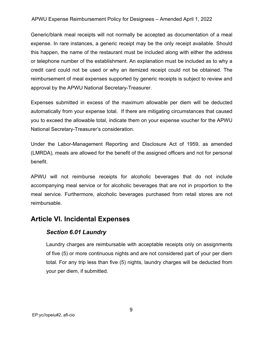#### APWU Expense Reimbursement Policy for Designees – Amended April 1, 2022

Generic/blank meal receipts will not normally be accepted as documentation of a meal expense. In rare instances, a generic receipt may be the only receipt available. Should this happen, the name of the restaurant must be included along with either the address or telephone number of the establishment. An explanation must be included as to why a credit card could not be used or why an itemized receipt could not be obtained. The reimbursement of meal expenses supported by generic receipts is subject to review and approval by the APWU National Secretary-Treasurer.

Expenses submitted in excess of the maximum allowable per diem will be deducted automatically from your expense total. If there are mitigating circumstances that caused you to exceed the allowable total, indicate them on your expense voucher for the APWU National Secretary-Treasurer's consideration.

Under the Labor-Management Reporting and Disclosure Act of 1959, as amended (LMRDA), meals are allowed for the benefit of the assigned officers and not for personal benefit.

APWU will not reimburse receipts for alcoholic beverages that do not include accompanying meal service or for alcoholic beverages that are not in proportion to the meal service. Furthermore, alcoholic beverages purchased from retail stores are not reimbursable.

## **Article VI. Incidental Expenses**

### *Section 6.01 Laundry*

Laundry charges are reimbursable with acceptable receipts only on assignments of five (5) or more continuous nights and are not considered part of your per diem total. For any trip less than five (5) nights, laundry charges will be deducted from your per diem, if submitted.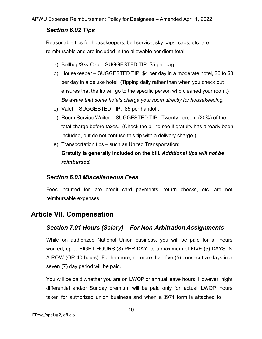## *Section 6.02 Tips*

Reasonable tips for housekeepers, bell service, sky caps, cabs, etc. are reimbursable and are included in the allowable per diem total.

- a) Bellhop/Sky Cap SUGGESTED TIP: \$5 per bag.
- b) Housekeeper SUGGESTED TIP: \$4 per day in a moderate hotel, \$6 to \$8 per day in a deluxe hotel. (Tipping daily rather than when you check out ensures that the tip will go to the specific person who cleaned your room.) *Be aware that some hotels charge your room directly for housekeeping.*
- c) Valet SUGGESTED TIP: \$5 per handoff.
- d) Room Service Waiter SUGGESTED TIP: Twenty percent (20%) of the total charge before taxes. (Check the bill to see if gratuity has already been included, but do not confuse this tip with a delivery charge.)
- e) Transportation tips such as United Transportation: **Gratuity is generally included on the bill.** *Additional tips will not be reimbursed.*

### *Section 6.03 Miscellaneous Fees*

Fees incurred for late credit card payments, return checks, etc. are not reimbursable expenses.

# **Article VII. Compensation**

## *Section 7.01 Hours (Salary) – For Non-Arbitration Assignments*

While on authorized National Union business, you will be paid for all hours worked, up to EIGHT HOURS (8) PER DAY, to a maximum of FIVE (5) DAYS IN A ROW (OR 40 hours). Furthermore, no more than five (5) consecutive days in a seven (7) day period will be paid.

You will be paid whether you are on LWOP or annual leave hours. However, night differential and/or Sunday premium will be paid only for actual LWOP hours taken for authorized union business and when a 3971 form is attached to